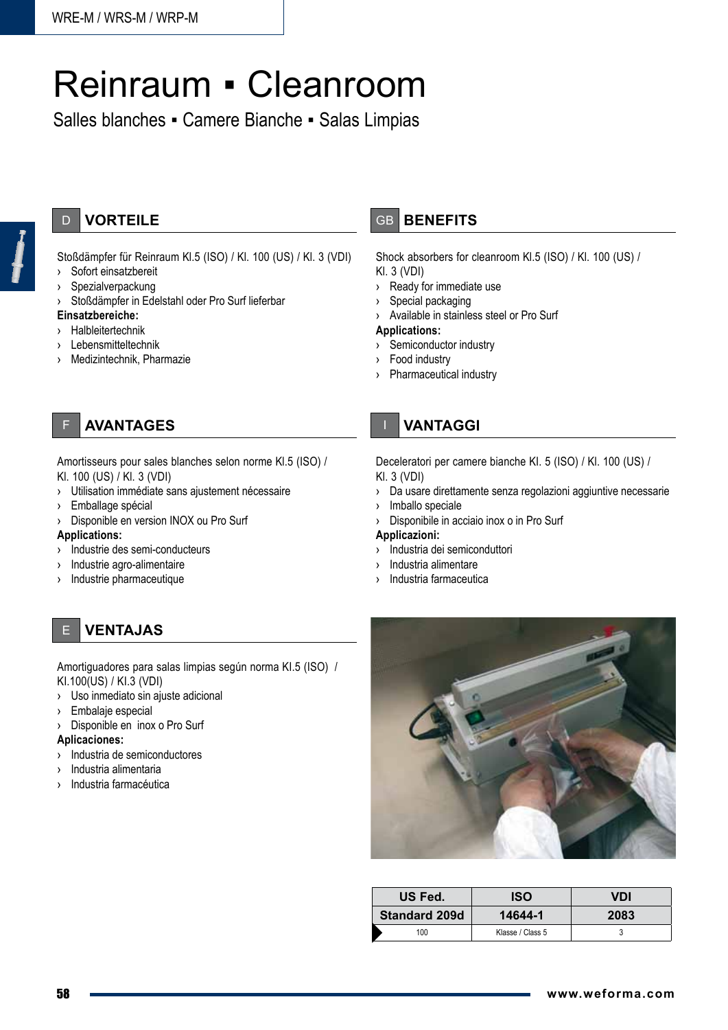# Reinraum ▪ Cleanroom

Salles blanches ▪ Camere Bianche ▪ Salas Limpias

## D **VORTEILE**

Stoßdämpfer für Reinraum Kl.5 (ISO) / Kl. 100 (US) / Kl. 3 (VDI)

- › Sofort einsatzbereit
- › Spezialverpackung

› Stoßdämpfer in Edelstahl oder Pro Surf lieferbar

### **Einsatzbereiche:**

- › Halbleitertechnik
- › Lebensmitteltechnik
- Medizintechnik, Pharmazie

## **AVANTAGES**

Amortisseurs pour sales blanches selon norme Kl.5 (ISO) / Kl. 100 (US) / Kl. 3 (VDI)

- › Utilisation immédiate sans ajustement nécessaire
- › Emballage spécial
- › Disponible en version INOX ou Pro Surf

#### **Applications:**

- › Industrie des semi-conducteurs
- › Industrie agro-alimentaire
- › Industrie pharmaceutique

E **VENTAJAS**

Amortiguadores para salas limpias según norma KI.5 (ISO) / KI.100(US) / KI.3 (VDI)

- › Uso inmediato sin ajuste adicional
- › Embalaje especial
- › Disponible en inox o Pro Surf

#### **Aplicaciones:**

- › Industria de semiconductores
- Industria alimentaria
- Industria farmacéutica

## GB **BENEFITS**

Shock absorbers for cleanroom Kl.5 (ISO) / Kl. 100 (US) / Kl. 3 (VDI)

- › Ready for immediate use
- › Special packaging
- › Available in stainless steel or Pro Surf

#### **Applications:**

- › Semiconductor industry
- Food industry
- Pharmaceutical industry

## I **VANtaggi**

Deceleratori per camere bianche KI. 5 (ISO) / Kl. 100 (US) /

Kl. 3 (VDI)

- › Da usare direttamente senza regolazioni aggiuntive necessarie
- › Imballo speciale
- Disponibile in acciaio inox o in Pro Surf

#### **Applicazioni:**

- › Industria dei semiconduttori
- › Industria alimentare
- Industria farmaceutica



| US Fed.              | ISO              | VDI  |
|----------------------|------------------|------|
| <b>Standard 209d</b> | 14644-1          | 2083 |
| 100                  | Klasse / Class 5 |      |